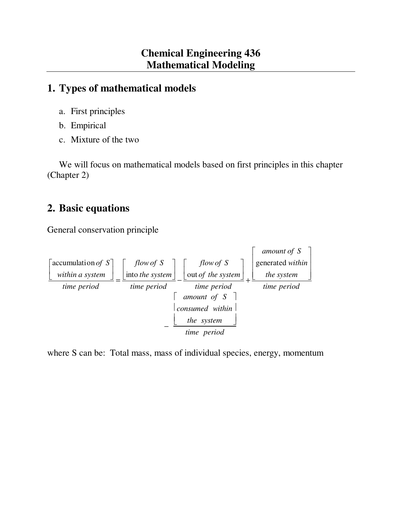# **1. Types of mathematical models**

- a. First principles
- b. Empirical
- c. Mixture of the two

 We will focus on mathematical models based on first principles in this chapter (Chapter 2)

# **2. Basic equations**

General conservation principle



where S can be: Total mass, mass of individual species, energy, momentum